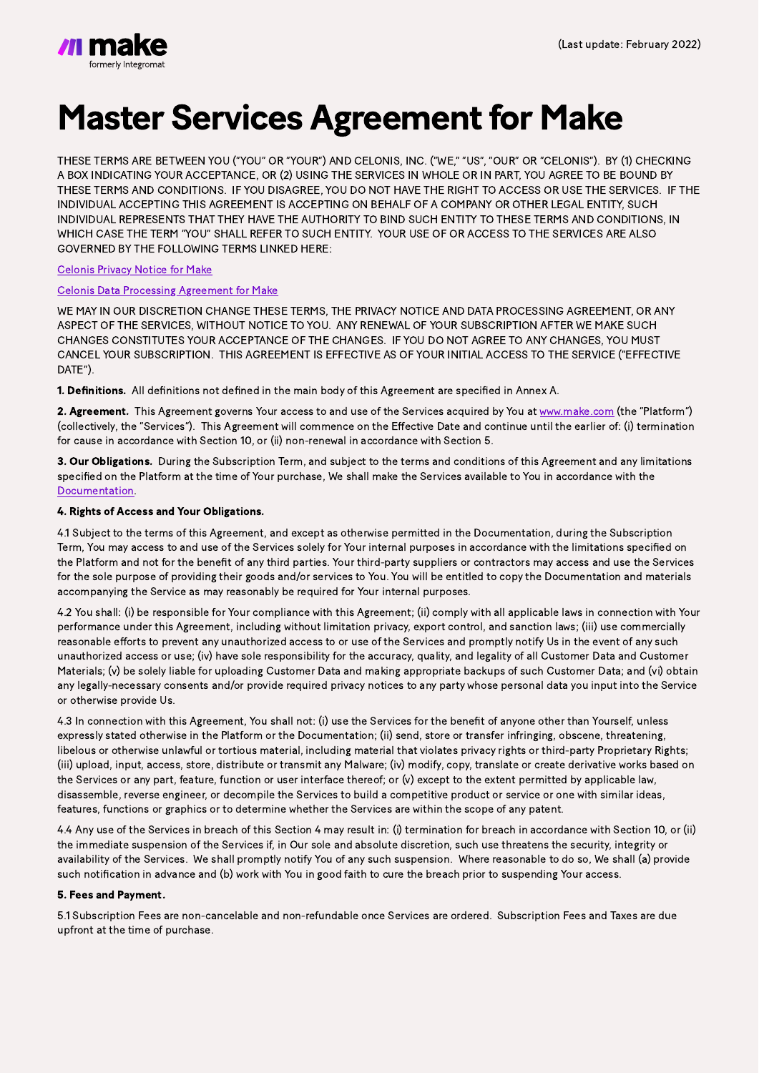# Master Services Agreement for Make

THESE TERMS ARE BETWEEN YOU ("YOU" OR "YOUR") AND CELONIS, INC. ("WE," "US", "OUR" OR "CELONIS"). BY (1) CHECKING A BOX INDICATING YOUR ACCEPTANCE, OR (2) USING THE SERVICES IN WHOLE OR IN PART, YOU AGREE TO BE BOUND BY THESE TERMS AND CONDITIONS. IF YOU DISAGREE, YOU DO NOT HAVE THE RIGHT TO ACCESS OR USE THE SERVICES. IF THE INDIVIDUAL ACCEPTING THIS AGREEMENT IS ACCEPTING ON BEHALF OF A COMPANY OR OTHER LEGAL ENTITY, SUCH INDIVIDUAL REPRESENTS THAT THEY HAVE THE AUTHORITY TO BIND SUCH ENTITY TO THESE TERMS AND CONDITIONS, IN WHICH CASE THE TERM "YOU" SHALL REFER TO SUCH ENTITY. YOUR USE OF OR ACCESS TO THE SERVICES ARE ALSO GOVERNED BY THE FOLLOWING TERMS LINKED HERE:

[Celonis Privacy Notice for Make](https://www.make.com/en/privacy-notice)

[Celonis Data Processing Agreement for Make](https://www.make.com/en/data-processing-agreement)

2. Agreement. This Agreement governs Your access to and use of the Services acquired by You at www.make.com (the "Platform") (collectively, the "Services"). This Agreement will commence on the Effective Date and continue until the earlier of: (i) termination for cause in accordance with Section 10, or (ii) non-renewal in accordance with Section 5.

3. Our Obligations. During the Subscription Term, and subject to the terms and conditions of this Agreement and any limitations specified on the Platform at the time of Your purchase, We shall make the Services available to You in accordance with the [Documentation.](https://www.make.com/en/product-description.pdf) 

WE MAY IN OUR DISCRETION CHANGE THESE TERMS, THE PRIVACY NOTICE AND DATA PROCESSING AGREEMENT, OR ANY ASPECT OF THE SERVICES, WITHOUT NOTICE TO YOU. ANY RENEWAL OF YOUR SUBSCRIPTION AFTER WE MAKE SUCH CHANGES CONSTITUTES YOUR ACCEPTANCE OF THE CHANGES. IF YOU DO NOT AGREE TO ANY CHANGES, YOU MUST CANCEL YOUR SUBSCRIPTION. THIS AGREEMENT IS EFFECTIVE AS OF YOUR INITIAL ACCESS TO THE SERVICE ("EFFECTIVE DATE").

1. Definitions. All definitions not defined in the main body of this Agreement are specified in Annex A.

#### 4. Rights of Access and Your Obligations.

4.1 Subject to the terms of this Agreement, and except as otherwise permitted in the Documentation, during the Subscription Term, You may access to and use of the Services solely for Your internal purposes in accordance with the limitations specified on the Platform and not for the benefit of any third parties. Your third-party suppliers or contractors may access and use the Services for the sole purpose of providing their goods and/or services to You. You will be entitled to copy the Documentation and materials accompanying the Service as may reasonably be required for Your internal purposes.

4.2 You shall: (i) be responsible for Your compliance with this Agreement; (ii) comply with all applicable laws in connection with Your performance under this Agreement, including without limitation privacy, export control, and sanction laws; (iii) use commercially reasonable efforts to prevent any unauthorized access to or use of the Services and promptly notify Us in the event of any such unauthorized access or use; (iv) have sole responsibility for the accuracy, quality, and legality of all Customer Data and Customer Materials; (v) be solely liable for uploading Customer Data and making appropriate backups of such Customer Data; and (vi) obtain any legally-necessary consents and/or provide required privacy notices to any party whose personal data you input into the Service or otherwise provide Us.

4.3 In connection with this Agreement, You shall not: (i) use the Services for the benefit of anyone other than Yourself, unless expressly stated otherwise in the Platform or the Documentation; (ii) send, store or transfer infringing, obscene, threatening, libelous or otherwise unlawful or tortious material, including material that violates privacy rights or third-party Proprietary Rights; (iii) upload, input, access, store, distribute or transmit any Malware; (iv) modify, copy, translate or create derivative works based on the Services or any part, feature, function or user interface thereof; or (v) except to the extent permitted by applicable law, disassemble, reverse engineer, or decompile the Services to build a competitive product or service or one with similar ideas, features, functions or graphics or to determine whether the Services are within the scope of any patent.

4.4 Any use of the Services in breach of this Section 4 may result in: (i) termination for breach in accordance with Section 10, or (ii) the immediate suspension of the Services if, in Our sole and absolute discretion, such use threatens the security, integrity or availability of the Services. We shall promptly notify You of any such suspension. Where reasonable to do so, We shall (a) provide such notification in advance and (b) work with You in good faith to cure the breach prior to suspending Your access.

#### 5. Fees and Payment.

5.1 Subscription Fees are non-cancelable and non-refundable once Services are ordered. Subscription Fees and Taxes are due upfront at the time of purchase.

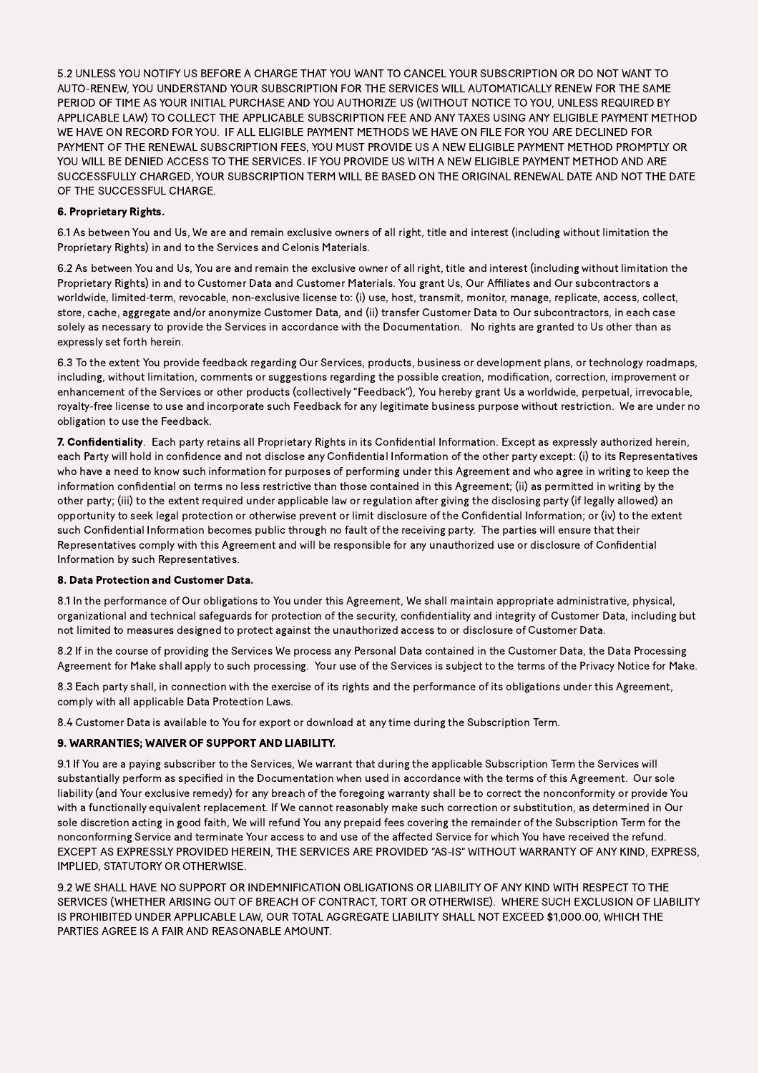5.2 UNLESS YOU NOTIFY US BEFORE A CHARGE THAT YOU WANT TO CANCEL YOUR SUBSCRIPTION OR DO NOT WANT TO AUTO-RENEW, YOU UNDERSTAND YOUR SUBSCRIPTION FOR THE SERVICES WILL AUTOMATICALLY RENEW FOR THE SAME PERIOD OF TIME AS YOUR INITIAL PURCHASE AND YOU AUTHORIZE US (WITHOUT NOTICE TO YOU, UNLESS REQUIRED BY APPLICABLE LAW) TO COLLECT THE APPLICABLE SUBSCRIPTION FEE AND ANY TAXES USING ANY ELIGIBLE PAYMENT METHOD WE HAVE ON RECORD FOR YOU. IF ALL ELIGIBLE PAYMENT METHODS WE HAVE ON FILE FOR YOU ARE DECLINED FOR PAYMENT OF THE RENEWAL SUBSCRIPTION FEES, YOU MUST PROVIDE US A NEW ELIGIBLE PAYMENT METHOD PROMPTLY OR YOU WILL BE DENIED ACCESS TO THE SERVICES. IF YOU PROVIDE US WITH A NEW ELIGIBLE PAYMENT METHOD AND ARE SUCCESSFULLY CHARGED, YOUR SUBSCRIPTION TERM WILL BE BASED ON THE ORIGINAL RENEWAL DATE AND NOT THE DATE OF THE SUCCESSFUL CHARGE.

#### 6. Proprietary Rights.

6.1 As between You and Us, We are and remain exclusive owners of all right, title and interest (including without limitation the Proprietary Rights) in and to the Services and Celonis Materials.

6.2 As between You and Us, You are and remain the exclusive owner of all right, title and interest (including without limitation the Proprietary Rights) in and to Customer Data and Customer Materials. You grant Us, Our Affiliates and Our subcontractors a worldwide, limited-term, revocable, non-exclusive license to: (i) use, host, transmit, monitor, manage, replicate, access, collect, store, cache, aggregate and/or anonymize Customer Data, and (ii) transfer Customer Data to Our subcontractors, in each case solely as necessary to provide the Services in accordance with the Documentation. No rights are granted to Us other than as expressly set forth herein.

7. Confidentiality. Each party retains all Proprietary Rights in its Confidential Information. Except as expressly authorized herein, each Party will hold in confidence and not disclose any Confidential Information of the other party except: (i) to its Representatives who have a need to know such information for purposes of performing under this Agreement and who agree in writing to keep the information confidential on terms no less restrictive than those contained in this Agreement; (ii) as permitted in writing by the other party; (iii) to the extent required under applicable law or regulation after giving the disclosing party (if legally allowed) an opportunity to seek legal protection or otherwise prevent or limit disclosure of the Confidential Information; or (iv) to the extent such Confidential Information becomes public through no fault of the receiving party. The parties will ensure that their Representatives comply with this Agreement and will be responsible for any unauthorized use or disclosure of Confidential

6.3 To the extent You provide feedback regarding Our Services, products, business or development plans, or technology roadmaps, including, without limitation, comments or suggestions regarding the possible creation, modification, correction, improvement or enhancement of the Services or other products (collectively "Feedback"), You hereby grant Us a worldwide, perpetual, irrevocable, royalty-free license to use and incorporate such Feedback for any legitimate business purpose without restriction. We are under no obligation to use the Feedback.

Information by such Representatives.

#### 8. Data Protection and Customer Data.

8.1 In the performance of Our obligations to You under this Agreement, We shall maintain appropriate administrative, physical, organizational and technical safeguards for protection of the security, confidentiality and integrity of Customer Data, including but not limited to measures designed to protect against the unauthorized access to or disclosure of Customer Data.

8.2 If in the course of providing the Services We process any Personal Data contained in the Customer Data, the Data Processing Agreement for Make shall apply to such processing. Your use of the Services is subject to the terms of the Privacy Notice for Make.

8.3 Each party shall, in connection with the exercise of its rights and the performance of its obligations under this Agreement, comply with all applicable Data Protection Laws.

8.4 Customer Data is available to You for export or download at any time during the Subscription Term.

# 9. WARRANTIES; WAIVER OF SUPPORT AND LIABILITY.

9.1 If You are a paying subscriber to the Services, We warrant that during the applicable Subscription Term the Services will substantially perform as specified in the Documentation when used in accordance with the terms of this Agreement. Our sole liability (and Your exclusive remedy) for any breach of the foregoing warranty shall be to correct the nonconformity or provide You with a functionally equivalent replacement. If We cannot reasonably make such correction or substitution, as determined in Our sole discretion acting in good faith, We will refund You any prepaid fees covering the remainder of the Subscription Term for the nonconforming Service and terminate Your access to and use of the affected Service for which You have received the refund. EXCEPT AS EXPRESSLY PROVIDED HEREIN, THE SERVICES ARE PROVIDED "AS-IS" WITHOUT WARRANTY OF ANY KIND, EXPRESS, IMPLIED, STATUTORY OR OTHERWISE.

9.2 WE SHALL HAVE NO SUPPORT OR INDEMNIFICATION OBLIGATIONS OR LIABILITY OF ANY KIND WITH RESPECT TO THE SERVICES (WHETHER ARISING OUT OF BREACH OF CONTRACT, TORT OR OTHERWISE). WHERE SUCH EXCLUSION OF LIABILITY IS PROHIBITED UNDER APPLICABLE LAW, OUR TOTAL AGGREGATE LIABILITY SHALL NOT EXCEED \$1,000.00, WHICH THE PARTIES AGREE IS A FAIR AND REASONABLE AMOUNT.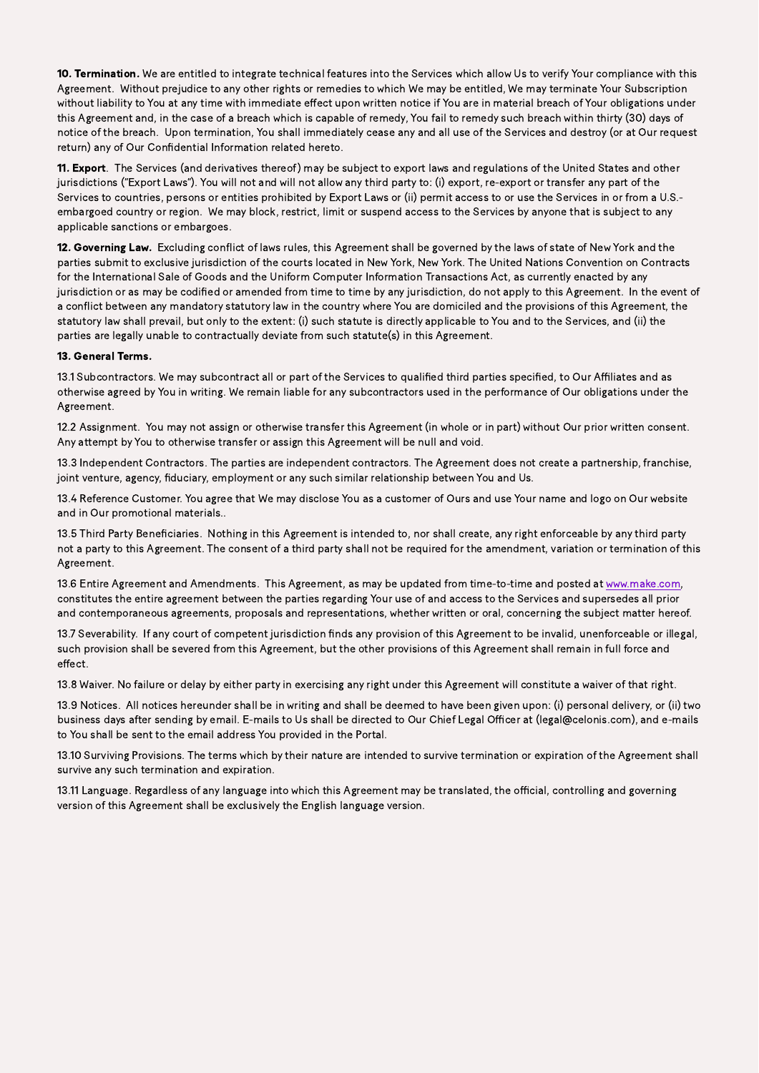10. Termination. We are entitled to integrate technical features into the Services which allow Us to verify Your compliance with this Agreement. Without prejudice to any other rights or remedies to which We may be entitled, We may terminate Your Subscription without liability to You at any time with immediate effect upon written notice if You are in material breach of Your obligations under this Agreement and, in the case of a breach which is capable of remedy, You fail to remedy such breach within thirty (30) days of notice of the breach. Upon termination, You shall immediately cease any and all use of the Services and destroy (or at Our request return) any of Our Confidential Information related hereto.

11. Export. The Services (and derivatives thereof) may be subject to export laws and regulations of the United States and other jurisdictions ("Export Laws"). You will not and will not allow any third party to: (i) export, re-export or transfer any part of the Services to countries, persons or entities prohibited by Export Laws or (ii) permit access to or use the Services in or from a U.S. embargoed country or region. We may block, restrict, limit or suspend access to the Services by anyone that is subject to any applicable sanctions or embargoes.

12. Governing Law. Excluding conflict of laws rules, this Agreement shall be governed by the laws of state of New York and the parties submit to exclusive jurisdiction of the courts located in New York, New York. The United Nations Convention on Contracts for the International Sale of Goods and the Uniform Computer Information Transactions Act, as currently enacted by any jurisdiction or as may be codified or amended from time to time by any jurisdiction, do not apply to this Agreement. In the event of a conflict between any mandatory statutory law in the country where You are domiciled and the provisions of this Agreement, the statutory law shall prevail, but only to the extent: (i) such statute is directly applicable to You and to the Services, and (ii) the parties are legally unable to contractually deviate from such statute(s) in this Agreement.

13.6 Entire Agreement and Amendments. This Agreement, as may be updated from time-to-time and posted at www.make.com, constitutes the entire agreement between the parties regarding Your use of and access to the Services and supersedes all prior and contemporaneous agreements, proposals and representations, whether written or oral, concerning the subject matter hereof.

## 13. General Terms.

13.1 Subcontractors. We may subcontract all or part of the Services to qualified third parties specified, to Our Affiliates and as otherwise agreed by You in writing. We remain liable for any subcontractors used in the performance of Our obligations under the Agreement.

12.2 Assignment. You may not assign or otherwise transfer this Agreement (in whole or in part) without Our prior written consent. Any attempt by You to otherwise transfer or assign this Agreement will be null and void.

13.3 Independent Contractors. The parties are independent contractors. The Agreement does not create a partnership, franchise, joint venture, agency, fiduciary, employment or any such similar relationship between You and Us.

13.4 Reference Customer. You agree that We may disclose You as a customer of Ours and use Your name and logo on Our website and in Our promotional materials..

13.5 Third Party Beneficiaries. Nothing in this Agreement is intended to, nor shall create, any right enforceable by any third party not a party to this Agreement. The consent of a third party shall not be required for the amendment, variation or termination of this Agreement.

13.7 Severability. If any court of competent jurisdiction finds any provision of this Agreement to be invalid, unenforceable or illegal, such provision shall be severed from this Agreement, but the other provisions of this Agreement shall remain in full force and effect.

13.8 Waiver. No failure or delay by either party in exercising any right under this Agreement will constitute a waiver of that right.

13.9 Notices. All notices hereunder shall be in writing and shall be deemed to have been given upon: (i) personal delivery, or (ii) two business days after sending by email. E-mails to Us shall be directed to Our Chief Legal Officer at (legal@celonis.com), and e-mails to You shall be sent to the email address You provided in the Portal.

13.10 Surviving Provisions. The terms which by their nature are intended to survive termination or expiration of the Agreement shall survive any such termination and expiration.

13.11 Language. Regardless of any language into which this Agreement may be translated, the official, controlling and governing version of this Agreement shall be exclusively the English language version.